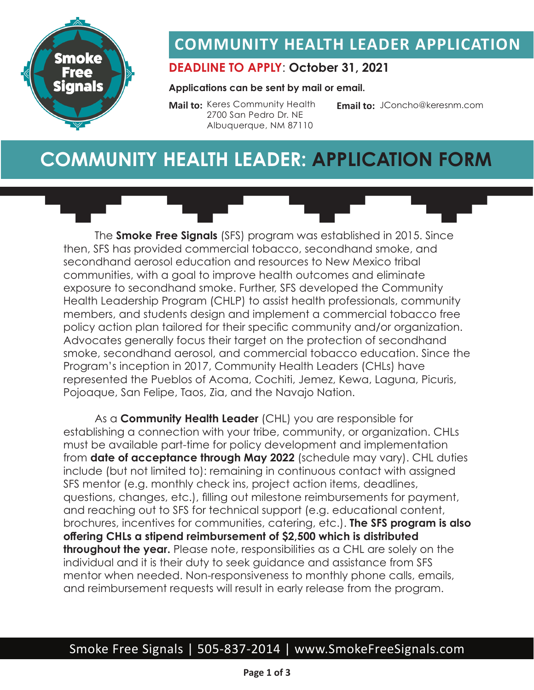

### **COMMUNITY HEALTH LEADER APPLICATION**

#### **DEADLINE TO APPLY**: **October 31, 2021**

#### **Applications can be sent by mail or email.**

**Mail to:** Keres Community Health 2700 San Pedro Dr. NE Albuquerque, NM 87110

**Email to:** JConcho@keresnm.com

### **COMMUNITY HEALTH LEADER: APPLICATION FORM**

The **Smoke Free Signals** (SFS) program was established in 2015. Since then, SFS has provided commercial tobacco, secondhand smoke, and secondhand aerosol education and resources to New Mexico tribal communities, with a goal to improve health outcomes and eliminate exposure to secondhand smoke. Further, SFS developed the Community Health Leadership Program (CHLP) to assist health professionals, community members, and students design and implement a commercial tobacco free policy action plan tailored for their specific community and/or organization. Advocates generally focus their target on the protection of secondhand smoke, secondhand aerosol, and commercial tobacco education. Since the Program's inception in 2017, Community Health Leaders (CHLs) have represented the Pueblos of Acoma, Cochiti, Jemez, Kewa, Laguna, Picuris, Pojoaque, San Felipe, Taos, Zia, and the Navajo Nation.

As a **Community Health Leader** (CHL) you are responsible for establishing a connection with your tribe, community, or organization. CHLs must be available part-time for policy development and implementation from **date of acceptance through May 2022** (schedule may vary). CHL duties include (but not limited to): remaining in continuous contact with assigned SFS mentor (e.g. monthly check ins, project action items, deadlines, questions, changes, etc.), filling out milestone reimbursements for payment, and reaching out to SFS for technical support (e.g. educational content, brochures, incentives for communities, catering, etc.). **The SFS program is also offering CHLs a stipend reimbursement of \$2,500 which is distributed throughout the year.** Please note, responsibilities as a CHL are solely on the individual and it is their duty to seek guidance and assistance from SFS mentor when needed. Non-responsiveness to monthly phone calls, emails, and reimbursement requests will result in early release from the program.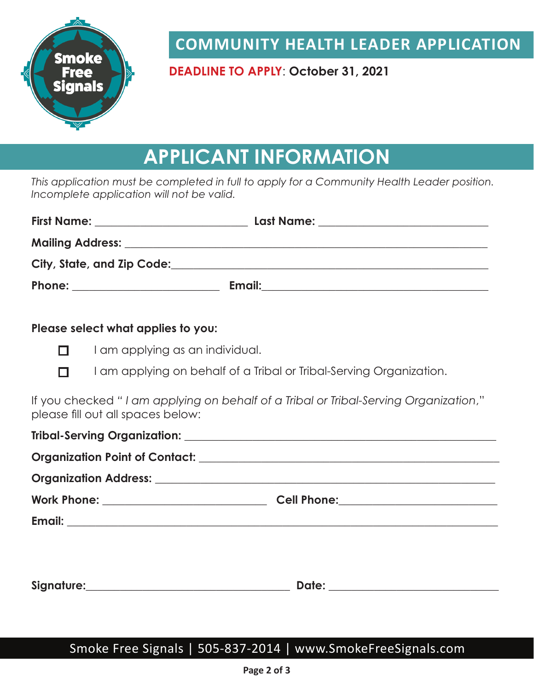

**COMMUNITY HEALTH LEADER APPLICATION**

**DEADLINE TO APPLY**: **October 31, 2021**

# **APPLICANT INFORMATION**

*This application must be completed in full to apply for a Community Health Leader position. Incomplete application will not be valid.*

| Please select what applies to you: |                                                                                      |  |
|------------------------------------|--------------------------------------------------------------------------------------|--|
| п                                  | I am applying as an individual.                                                      |  |
| П                                  | I am applying on behalf of a Tribal or Tribal-Serving Organization.                  |  |
| please fill out all spaces below:  | If you checked "I am applying on behalf of a Tribal or Tribal-Serving Organization," |  |
|                                    |                                                                                      |  |
|                                    |                                                                                      |  |
|                                    |                                                                                      |  |
|                                    |                                                                                      |  |
|                                    |                                                                                      |  |
|                                    |                                                                                      |  |
|                                    |                                                                                      |  |

#### Smoke Free Signals | 505-837-2014 | www.SmokeFreeSignals.com